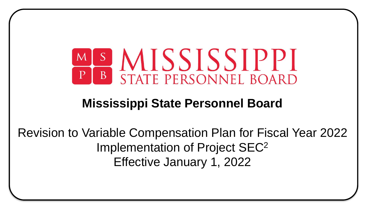

## **Mississippi State Personnel Board**

Revision to Variable Compensation Plan for Fiscal Year 2022 Implementation of Project SEC<sup>2</sup> Effective January 1, 2022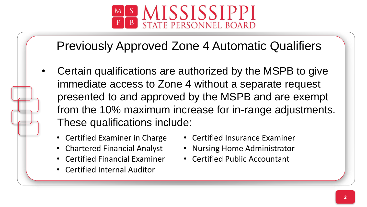

# Previously Approved Zone 4 Automatic Qualifiers

- from the 10% maximum increase for in-range adjustments. • Certain qualifications are authorized by the MSPB to give immediate access to Zone 4 without a separate request presented to and approved by the MSPB and are exempt These qualifications include:
	- Certified Examiner in Charge
	- Chartered Financial Analyst
	- Certified Financial Examiner
	- Certified Internal Auditor
- Certified Insurance Examiner
- Nursing Home Administrator
- Certified Public Accountant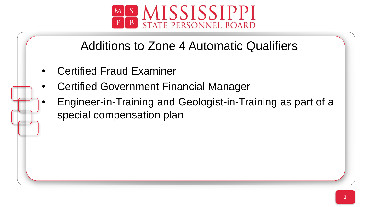

# Additions to Zone 4 Automatic Qualifiers

- Certified Fraud Examiner
- Certified Government Financial Manager
- Engineer-in-Training and Geologist-in-Training as part of a special compensation plan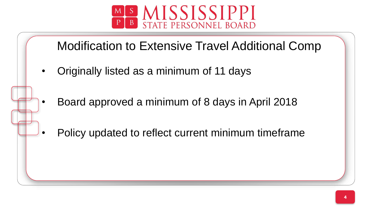

### Modification to Extensive Travel Additional Comp

- Originally listed as a minimum of 11 days
- Board approved a minimum of 8 days in April 2018
- Policy updated to reflect current minimum timeframe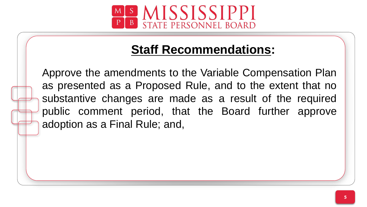

## **Staff Recommendations:**

public comment period, that the Board further approve Approve the amendments to the Variable Compensation Plan as presented as a Proposed Rule, and to the extent that no substantive changes are made as a result of the required adoption as a Final Rule; and,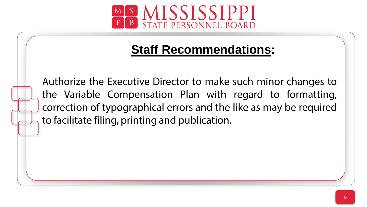

## **Staff Recommendations:**

Authorize the Executive Director to make such minor changes to the Variable Compensation Plan with regard to formatting, correction of typographical errors and the like as may be required to facilitate filing, printing and publication.